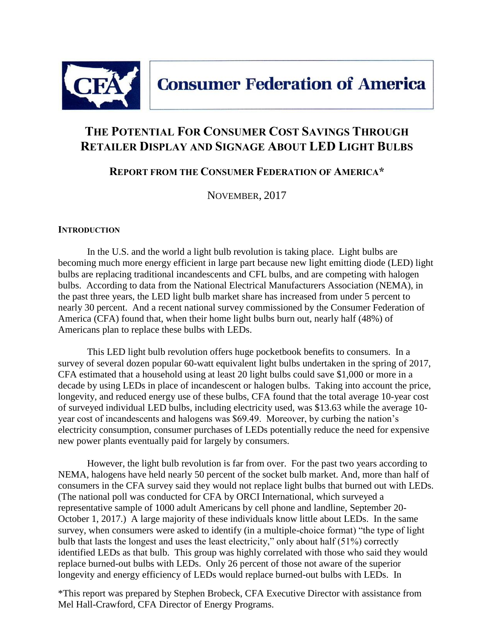

# **THE POTENTIAL FOR CONSUMER COST SAVINGS THROUGH RETAILER DISPLAY AND SIGNAGE ABOUT LED LIGHT BULBS**

**REPORT FROM THE CONSUMER FEDERATION OF AMERICA\***

NOVEMBER, 2017

#### **INTRODUCTION**

In the U.S. and the world a light bulb revolution is taking place. Light bulbs are becoming much more energy efficient in large part because new light emitting diode (LED) light bulbs are replacing traditional incandescents and CFL bulbs, and are competing with halogen bulbs. According to data from the National Electrical Manufacturers Association (NEMA), in the past three years, the LED light bulb market share has increased from under 5 percent to nearly 30 percent. And a recent national survey commissioned by the Consumer Federation of America (CFA) found that, when their home light bulbs burn out, nearly half (48%) of Americans plan to replace these bulbs with LEDs.

This LED light bulb revolution offers huge pocketbook benefits to consumers. In a survey of several dozen popular 60-watt equivalent light bulbs undertaken in the spring of 2017, CFA estimated that a household using at least 20 light bulbs could save \$1,000 or more in a decade by using LEDs in place of incandescent or halogen bulbs. Taking into account the price, longevity, and reduced energy use of these bulbs, CFA found that the total average 10-year cost of surveyed individual LED bulbs, including electricity used, was \$13.63 while the average 10 year cost of incandescents and halogens was \$69.49. Moreover, by curbing the nation's electricity consumption, consumer purchases of LEDs potentially reduce the need for expensive new power plants eventually paid for largely by consumers.

However, the light bulb revolution is far from over. For the past two years according to NEMA, halogens have held nearly 50 percent of the socket bulb market. And, more than half of consumers in the CFA survey said they would not replace light bulbs that burned out with LEDs. (The national poll was conducted for CFA by ORCI International, which surveyed a representative sample of 1000 adult Americans by cell phone and landline, September 20- October 1, 2017.) A large majority of these individuals know little about LEDs. In the same survey, when consumers were asked to identify (in a multiple-choice format) "the type of light bulb that lasts the longest and uses the least electricity," only about half (51%) correctly identified LEDs as that bulb. This group was highly correlated with those who said they would replace burned-out bulbs with LEDs. Only 26 percent of those not aware of the superior longevity and energy efficiency of LEDs would replace burned-out bulbs with LEDs. In

\*This report was prepared by Stephen Brobeck, CFA Executive Director with assistance from Mel Hall-Crawford, CFA Director of Energy Programs.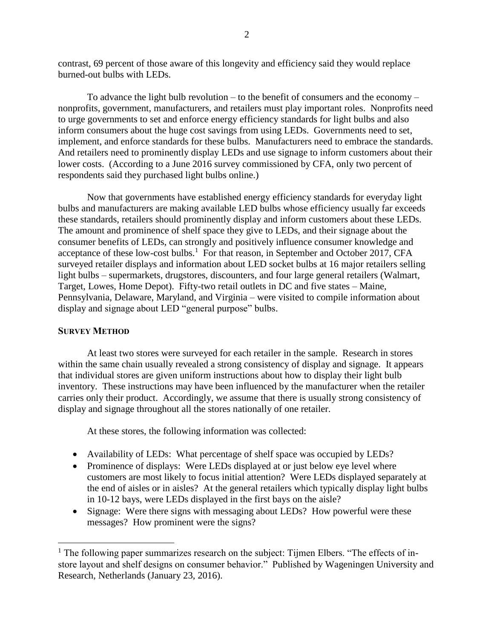contrast, 69 percent of those aware of this longevity and efficiency said they would replace burned-out bulbs with LEDs.

To advance the light bulb revolution – to the benefit of consumers and the economy – nonprofits, government, manufacturers, and retailers must play important roles. Nonprofits need to urge governments to set and enforce energy efficiency standards for light bulbs and also inform consumers about the huge cost savings from using LEDs. Governments need to set, implement, and enforce standards for these bulbs. Manufacturers need to embrace the standards. And retailers need to prominently display LEDs and use signage to inform customers about their lower costs. (According to a June 2016 survey commissioned by CFA, only two percent of respondents said they purchased light bulbs online.)

Now that governments have established energy efficiency standards for everyday light bulbs and manufacturers are making available LED bulbs whose efficiency usually far exceeds these standards, retailers should prominently display and inform customers about these LEDs. The amount and prominence of shelf space they give to LEDs, and their signage about the consumer benefits of LEDs, can strongly and positively influence consumer knowledge and acceptance of these low-cost bulbs.<sup>1</sup> For that reason, in September and October 2017, CFA surveyed retailer displays and information about LED socket bulbs at 16 major retailers selling light bulbs – supermarkets, drugstores, discounters, and four large general retailers (Walmart, Target, Lowes, Home Depot). Fifty-two retail outlets in DC and five states – Maine, Pennsylvania, Delaware, Maryland, and Virginia – were visited to compile information about display and signage about LED "general purpose" bulbs.

#### **SURVEY METHOD**

 $\overline{a}$ 

At least two stores were surveyed for each retailer in the sample. Research in stores within the same chain usually revealed a strong consistency of display and signage. It appears that individual stores are given uniform instructions about how to display their light bulb inventory. These instructions may have been influenced by the manufacturer when the retailer carries only their product. Accordingly, we assume that there is usually strong consistency of display and signage throughout all the stores nationally of one retailer.

At these stores, the following information was collected:

- Availability of LEDs: What percentage of shelf space was occupied by LEDs?
- Prominence of displays: Were LEDs displayed at or just below eye level where customers are most likely to focus initial attention? Were LEDs displayed separately at the end of aisles or in aisles? At the general retailers which typically display light bulbs in 10-12 bays, were LEDs displayed in the first bays on the aisle?
- Signage: Were there signs with messaging about LEDs? How powerful were these messages? How prominent were the signs?

 $<sup>1</sup>$  The following paper summarizes research on the subject: Tijmen Elbers. "The effects of in-</sup> store layout and shelf designs on consumer behavior." Published by Wageningen University and Research, Netherlands (January 23, 2016).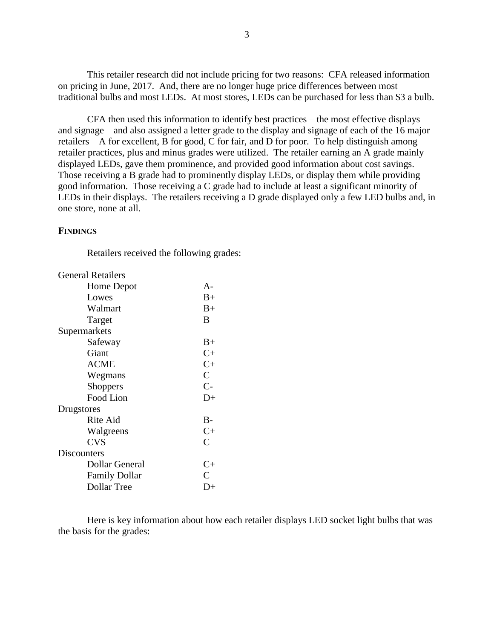This retailer research did not include pricing for two reasons: CFA released information on pricing in June, 2017. And, there are no longer huge price differences between most traditional bulbs and most LEDs. At most stores, LEDs can be purchased for less than \$3 a bulb.

CFA then used this information to identify best practices – the most effective displays and signage – and also assigned a letter grade to the display and signage of each of the 16 major retailers – A for excellent, B for good, C for fair, and D for poor. To help distinguish among retailer practices, plus and minus grades were utilized. The retailer earning an A grade mainly displayed LEDs, gave them prominence, and provided good information about cost savings. Those receiving a B grade had to prominently display LEDs, or display them while providing good information. Those receiving a C grade had to include at least a significant minority of LEDs in their displays. The retailers receiving a D grade displayed only a few LED bulbs and, in one store, none at all.

#### **FINDINGS**

Retailers received the following grades:

| $A -$                            |
|----------------------------------|
| $_{\rm B+}$                      |
| $B+$                             |
| B                                |
|                                  |
| $B+$                             |
| $C+$                             |
| $C+$                             |
| $\mathsf{C}$                     |
| $C-$                             |
| D+                               |
|                                  |
| $B-$                             |
| $C+$                             |
| C                                |
|                                  |
| $C+$                             |
| C                                |
| $\mathsf{L}\mathsf{L}\mathsf{L}$ |
|                                  |

Here is key information about how each retailer displays LED socket light bulbs that was the basis for the grades: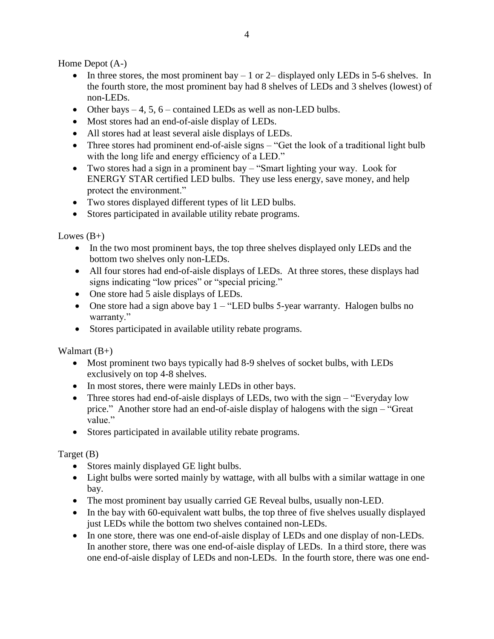Home Depot (A-)

- In three stores, the most prominent bay  $-1$  or 2– displayed only LEDs in 5-6 shelves. In the fourth store, the most prominent bay had 8 shelves of LEDs and 3 shelves (lowest) of non-LEDs.
- Other bays  $-4$ , 5, 6 contained LEDs as well as non-LED bulbs.
- Most stores had an end-of-aisle display of LEDs.
- All stores had at least several aisle displays of LEDs.
- Three stores had prominent end-of-aisle signs "Get the look of a traditional light bulb" with the long life and energy efficiency of a LED."
- Two stores had a sign in a prominent bay "Smart lighting your way. Look for ENERGY STAR certified LED bulbs. They use less energy, save money, and help protect the environment."
- Two stores displayed different types of lit LED bulbs.
- Stores participated in available utility rebate programs.

Lowes  $(B+)$ 

- In the two most prominent bays, the top three shelves displayed only LEDs and the bottom two shelves only non-LEDs.
- All four stores had end-of-aisle displays of LEDs. At three stores, these displays had signs indicating "low prices" or "special pricing."
- One store had 5 aisle displays of LEDs.
- One store had a sign above bay  $1 -$  "LED bulbs 5-year warranty. Halogen bulbs no warranty."
- Stores participated in available utility rebate programs.

Walmart  $(B+)$ 

- Most prominent two bays typically had 8-9 shelves of socket bulbs, with LEDs exclusively on top 4-8 shelves.
- In most stores, there were mainly LEDs in other bays.
- Three stores had end-of-aisle displays of LEDs, two with the sign "Everyday low" price." Another store had an end-of-aisle display of halogens with the sign – "Great value."
- Stores participated in available utility rebate programs.

Target (B)

- Stores mainly displayed GE light bulbs.
- Light bulbs were sorted mainly by wattage, with all bulbs with a similar wattage in one bay.
- The most prominent bay usually carried GE Reveal bulbs, usually non-LED.
- In the bay with 60-equivalent watt bulbs, the top three of five shelves usually displayed just LEDs while the bottom two shelves contained non-LEDs.
- In one store, there was one end-of-aisle display of LEDs and one display of non-LEDs. In another store, there was one end-of-aisle display of LEDs. In a third store, there was one end-of-aisle display of LEDs and non-LEDs. In the fourth store, there was one end-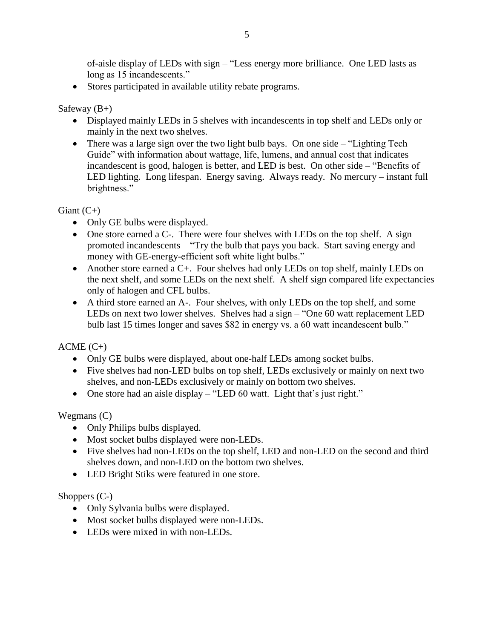of-aisle display of LEDs with sign – "Less energy more brilliance. One LED lasts as long as 15 incandescents."

Stores participated in available utility rebate programs.

#### Safeway  $(B+)$

- Displayed mainly LEDs in 5 shelves with incandescents in top shelf and LEDs only or mainly in the next two shelves.
- There was a large sign over the two light bulb bays. On one side "Lighting Tech" Guide" with information about wattage, life, lumens, and annual cost that indicates incandescent is good, halogen is better, and LED is best. On other side – "Benefits of LED lighting. Long lifespan. Energy saving. Always ready. No mercury – instant full brightness."

Giant  $(C+)$ 

- Only GE bulbs were displayed.
- One store earned a C-. There were four shelves with LEDs on the top shelf. A sign promoted incandescents – "Try the bulb that pays you back. Start saving energy and money with GE-energy-efficient soft white light bulbs."
- Another store earned a C+. Four shelves had only LEDs on top shelf, mainly LEDs on the next shelf, and some LEDs on the next shelf. A shelf sign compared life expectancies only of halogen and CFL bulbs.
- A third store earned an A-. Four shelves, with only LEDs on the top shelf, and some LEDs on next two lower shelves. Shelves had a sign – "One 60 watt replacement LED bulb last 15 times longer and saves \$82 in energy vs. a 60 watt incandescent bulb."

 $ACME (C+)$ 

- Only GE bulbs were displayed, about one-half LEDs among socket bulbs.
- Five shelves had non-LED bulbs on top shelf, LEDs exclusively or mainly on next two shelves, and non-LEDs exclusively or mainly on bottom two shelves.
- One store had an aisle display "LED 60 watt. Light that's just right."

Wegmans (C)

- Only Philips bulbs displayed.
- Most socket bulbs displayed were non-LEDs.
- Five shelves had non-LEDs on the top shelf, LED and non-LED on the second and third shelves down, and non-LED on the bottom two shelves.
- LED Bright Stiks were featured in one store.

# Shoppers (C-)

- Only Sylvania bulbs were displayed.
- Most socket bulbs displayed were non-LEDs.
- LEDs were mixed in with non-LEDs.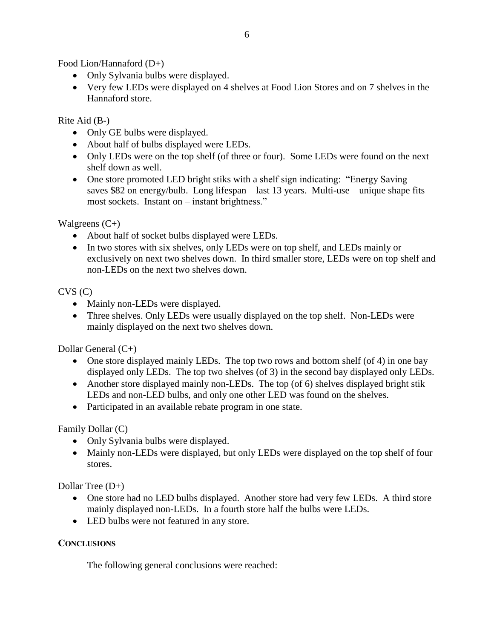Food Lion/Hannaford (D+)

- Only Sylvania bulbs were displayed.
- Very few LEDs were displayed on 4 shelves at Food Lion Stores and on 7 shelves in the Hannaford store.

#### Rite Aid (B-)

- Only GE bulbs were displayed.
- About half of bulbs displayed were LEDs.
- Only LEDs were on the top shelf (of three or four). Some LEDs were found on the next shelf down as well.
- One store promoted LED bright stiks with a shelf sign indicating: "Energy Saving saves \$82 on energy/bulb. Long lifespan – last 13 years. Multi-use – unique shape fits most sockets. Instant on – instant brightness."

Walgreens  $(C+)$ 

- About half of socket bulbs displayed were LEDs.
- In two stores with six shelves, only LEDs were on top shelf, and LEDs mainly or exclusively on next two shelves down. In third smaller store, LEDs were on top shelf and non-LEDs on the next two shelves down.

### CVS (C)

- Mainly non-LEDs were displayed.
- Three shelves. Only LEDs were usually displayed on the top shelf. Non-LEDs were mainly displayed on the next two shelves down.

Dollar General (C+)

- One store displayed mainly LEDs. The top two rows and bottom shelf (of 4) in one bay displayed only LEDs. The top two shelves (of 3) in the second bay displayed only LEDs.
- Another store displayed mainly non-LEDs. The top (of 6) shelves displayed bright stik LEDs and non-LED bulbs, and only one other LED was found on the shelves.
- Participated in an available rebate program in one state.

Family Dollar (C)

- Only Sylvania bulbs were displayed.
- Mainly non-LEDs were displayed, but only LEDs were displayed on the top shelf of four stores.

Dollar Tree  $(D+)$ 

- One store had no LED bulbs displayed. Another store had very few LEDs. A third store mainly displayed non-LEDs. In a fourth store half the bulbs were LEDs.
- LED bulbs were not featured in any store.

# **CONCLUSIONS**

The following general conclusions were reached: